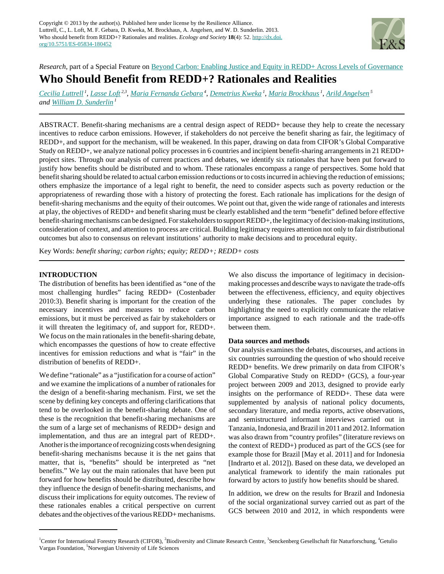

# *Research*, part of a Special Feature on [Beyond Carbon: Enabling Justice and Equity in REDD+ Across Levels of Governance](http://www.ecologyandsociety.org/viewissue.php?sf=86)

**Who Should Benefit from REDD+? Rationales and Realities**

*[Cecilia Luttrell](mailto:c.luttrell@cgiar.org)<sup>1</sup>* , *[Lasse Loft](mailto:Lasse.Loft@senckenberg.de) 2,3* , *[Maria Fernanda Gebara](mailto:mfgebara@gmail.com)<sup>4</sup>* , *[Demetrius Kweka](mailto:demetrius.kweka@gmail.com)<sup>1</sup>* , *[Maria Brockhaus](mailto:m.brockhaus@cgiar.org)<sup>1</sup>* , *[Arild Angelsen](mailto:arild.angelsen@umb.no)<sup>5</sup> and [William D. Sunderlin](mailto:w.sunderlin@cgiar.org)<sup>1</sup>*

ABSTRACT. Benefit-sharing mechanisms are a central design aspect of REDD+ because they help to create the necessary incentives to reduce carbon emissions. However, if stakeholders do not perceive the benefit sharing as fair, the legitimacy of REDD+, and support for the mechanism, will be weakened. In this paper, drawing on data from CIFOR's Global Comparative Study on REDD+, we analyze national policy processes in 6 countries and incipient benefit-sharing arrangements in 21 REDD+ project sites. Through our analysis of current practices and debates, we identify six rationales that have been put forward to justify how benefits should be distributed and to whom. These rationales encompass a range of perspectives. Some hold that benefit sharing should be related to actual carbon emission reductions or to costs incurred in achieving the reduction of emissions; others emphasize the importance of a legal right to benefit, the need to consider aspects such as poverty reduction or the appropriateness of rewarding those with a history of protecting the forest. Each rationale has implications for the design of benefit-sharing mechanisms and the equity of their outcomes. We point out that, given the wide range of rationales and interests at play, the objectives of REDD+ and benefit sharing must be clearly established and the term "benefit" defined before effective benefit-sharing mechanisms can be designed. For stakeholders to support REDD+, the legitimacy of decision-making institutions, consideration of context, and attention to process are critical. Building legitimacy requires attention not only to fair distributional outcomes but also to consensus on relevant institutions' authority to make decisions and to procedural equity.

Key Words: *benefit sharing; carbon rights; equity; REDD+; REDD+ costs*

# **INTRODUCTION**

The distribution of benefits has been identified as "one of the most challenging hurdles" facing REDD+ (Costenbader 2010:3). Benefit sharing is important for the creation of the necessary incentives and measures to reduce carbon emissions, but it must be perceived as fair by stakeholders or it will threaten the legitimacy of, and support for, REDD+. We focus on the main rationales in the benefit-sharing debate, which encompasses the questions of how to create effective incentives for emission reductions and what is "fair" in the distribution of benefits of REDD+.

We define "rationale" as a "justification for a course of action" and we examine the implications of a number of rationales for the design of a benefit-sharing mechanism. First, we set the scene by defining key concepts and offering clarifications that tend to be overlooked in the benefit-sharing debate. One of these is the recognition that benefit-sharing mechanisms are the sum of a large set of mechanisms of REDD+ design and implementation, and thus are an integral part of REDD+. Another is the importance of recognizing costs when designing benefit-sharing mechanisms because it is the net gains that matter, that is, "benefits" should be interpreted as "net benefits." We lay out the main rationales that have been put forward for how benefits should be distributed, describe how they influence the design of benefit-sharing mechanisms, and discuss their implications for equity outcomes. The review of these rationales enables a critical perspective on current debates and the objectives of the various REDD+ mechanisms.

We also discuss the importance of legitimacy in decisionmaking processes and describe ways to navigate the trade-offs between the effectiveness, efficiency, and equity objectives underlying these rationales. The paper concludes by highlighting the need to explicitly communicate the relative importance assigned to each rationale and the trade-offs between them.

#### **Data sources and methods**

Our analysis examines the debates, discourses, and actions in six countries surrounding the question of who should receive REDD+ benefits. We drew primarily on data from CIFOR's Global Comparative Study on REDD+ (GCS), a four-year project between 2009 and 2013, designed to provide early insights on the performance of REDD+. These data were supplemented by analysis of national policy documents, secondary literature, and media reports, active observations, and semistructured informant interviews carried out in Tanzania, Indonesia, and Brazil in 2011 and 2012. Information was also drawn from "country profiles" (literature reviews on the context of REDD+) produced as part of the GCS (see for example those for Brazil [May et al. 2011] and for Indonesia [Indrarto et al. 2012]). Based on these data, we developed an analytical framework to identify the main rationales put forward by actors to justify how benefits should be shared.

In addition, we drew on the results for Brazil and Indonesia of the social organizational survey carried out as part of the GCS between 2010 and 2012, in which respondents were

<sup>&</sup>lt;sup>1</sup>Center for International Forestry Research (CIFOR), <sup>2</sup>Biodiversity and Climate Research Centre, <sup>3</sup>Senckenberg Gesellschaft für Naturforschung, <sup>4</sup>Getulio Vargas Foundation, <sup>3</sup>Norwegian University of Life Sciences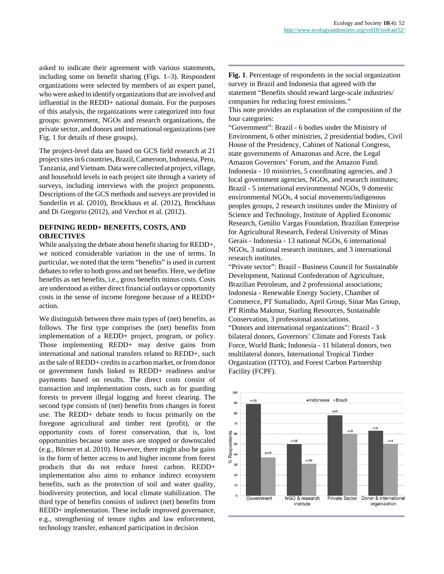asked to indicate their agreement with various statements, including some on benefit sharing (Figs. 1–3). Respondent organizations were selected by members of an expert panel, who were asked to identify organizations that are involved and influential in the REDD+ national domain. For the purposes of this analysis, the organizations were categorized into four groups: government, NGOs and research organizations, the private sector, and donors and international organizations (see Fig. 1 for details of these groups).

The project-level data are based on GCS field research at 21 project sites in 6 countries, Brazil, Cameroon, Indonesia, Peru, Tanzania, and Vietnam. Data were collected at project, village, and household levels in each project site through a variety of surveys, including interviews with the project proponents. Descriptions of the GCS methods and surveys are provided in Sunderlin et al. (2010), Brockhaus et al. (2012), Brockhaus and Di Gregorio (2012), and Verchot et al. (2012).

# **DEFINING REDD+ BENEFITS, COSTS, AND OBJECTIVES**

While analyzing the debate about benefit sharing for REDD+, we noticed considerable variation in the use of terms. In particular, we noted that the term "benefits" is used in current debates to refer to both gross and net benefits. Here, we define benefits as net benefits, i.e., gross benefits minus costs. Costs are understood as either direct financial outlays or opportunity costs in the sense of income foregone because of a REDD+ action.

We distinguish between three main types of (net) benefits, as follows. The first type comprises the (net) benefits from implementation of a REDD+ project, program, or policy. Those implementing REDD+ may derive gains from international and national transfers related to REDD+, such as the sale of REDD+ credits in a carbon market, or from donor or government funds linked to REDD+ readiness and/or payments based on results. The direct costs consist of transaction and implementation costs, such as for guarding forests to prevent illegal logging and forest clearing. The second type consists of (net) benefits from changes in forest use. The REDD+ debate tends to focus primarily on the foregone agricultural and timber rent (profit), or the opportunity costs of forest conservation, that is, lost opportunities because some uses are stopped or downscaled (e.g., Börner et al. 2010). However, there might also be gains in the form of better access to and higher income from forest products that do not reduce forest carbon. REDD+ implementation also aims to enhance indirect ecosystem benefits, such as the protection of soil and water quality, biodiversity protection, and local climate stabilization. The third type of benefits consists of indirect (net) benefits from REDD+ implementation. These include improved governance, e.g., strengthening of tenure rights and law enforcement, technology transfer, enhanced participation in decision

**Fig. 1**. Percentage of respondents in the social organization survey in Brazil and Indonesia that agreed with the statement "Benefits should reward large-scale industries/ companies for reducing forest emissions."

This note provides an explanation of the composition of the four categories:

"Government": Brazil - 6 bodies under the Ministry of Environment, 6 other ministries, 2 presidential bodies, Civil House of the Presidency, Cabinet of National Congress, state governments of Amazonas and Acre, the Legal Amazon Governors' Forum, and the Amazon Fund. Indonesia - 10 ministries, 5 coordinating agencies, and 3 local government agencies, NGOs, and research institutes; Brazil - 5 international environmental NGOs, 9 domestic environmental NGOs, 4 social movements/indigenous peoples groups, 2 research institutes under the Ministry of Science and Technology, Institute of Applied Economic Research, Getúlio Vargas Foundation, Brazilian Enterprise for Agricultural Research, Federal University of Minas Gerais - Indonesia - 13 national NGOs, 6 international NGOs, 3 national research institutes, and 3 international research institutes.

"Private sector": Brazil - Business Council for Sustainable Development, National Confederation of Agriculture, Brazilian Petroleum, and 2 professional associations; Indonesia - Renewable Energy Society, Chamber of Commerce, PT Sumalindo, April Group, Sinar Mas Group, PT Rimba Makmur, Starling Resources, Sustainable Conservation, 3 professional associations. "Donors and international organizations": Brazil - 3 bilateral donors, Governors' Climate and Forests Task Force, World Bank; Indonesia - 11 bilateral donors, two multilateral donors, International Tropical Timber Organization (ITTO), and Forest Carbon Partnership Facility (FCPF).

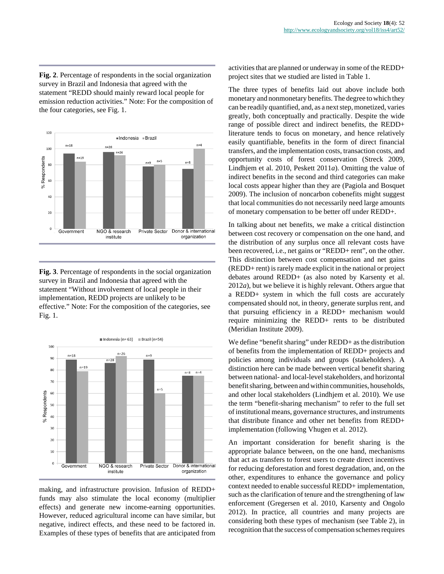**Fig. 2**. Percentage of respondents in the social organization survey in Brazil and Indonesia that agreed with the statement "REDD should mainly reward local people for emission reduction activities." Note: For the composition of the four categories, see Fig. 1.

 $n=28$ 

NGO & research

institute

 $256$ 

Indonesia Brazil

 $n=5$ 

**Private Sector** 

 $n=4$ 

 $n=8$ 

Donor & international organization

120

100

80

60

40

 $\overline{20}$ 

 $\circ$ 

% Respondents

 $n=18$ 

Government

 $n = 19$ 

**Fig. 3**. Percentage of respondents in the social organization survey in Brazil and Indonesia that agreed with the statement "Without involvement of local people in their implementation, REDD projects are unlikely to be effective." Note: For the composition of the categories, see Fig. 1.



making, and infrastructure provision. Infusion of REDD+ funds may also stimulate the local economy (multiplier effects) and generate new income-earning opportunities. However, reduced agricultural income can have similar, but negative, indirect effects, and these need to be factored in. Examples of these types of benefits that are anticipated from

activities that are planned or underway in some of the REDD+ project sites that we studied are listed in Table 1.

The three types of benefits laid out above include both monetary and nonmonetary benefits. The degree to which they can be readily quantified, and, as a next step, monetized, varies greatly, both conceptually and practically. Despite the wide range of possible direct and indirect benefits, the REDD+ literature tends to focus on monetary, and hence relatively easily quantifiable, benefits in the form of direct financial transfers, and the implementation costs, transaction costs, and opportunity costs of forest conservation (Streck 2009, Lindhjem et al. 2010, Peskett 2011*a*). Omitting the value of indirect benefits in the second and third categories can make local costs appear higher than they are (Pagiola and Bosquet 2009). The inclusion of noncarbon cobenefits might suggest that local communities do not necessarily need large amounts of monetary compensation to be better off under REDD+.

In talking about net benefits, we make a critical distinction between cost recovery or compensation on the one hand, and the distribution of any surplus once all relevant costs have been recovered, i.e., net gains or "REDD+ rent", on the other. This distinction between cost compensation and net gains (REDD+ rent) is rarely made explicit in the national or project debates around REDD+ (as also noted by Karsenty et al. 2012*a*), but we believe it is highly relevant. Others argue that a REDD+ system in which the full costs are accurately compensated should not, in theory, generate surplus rent, and that pursuing efficiency in a REDD+ mechanism would require minimizing the REDD+ rents to be distributed (Meridian Institute 2009).

We define "benefit sharing" under REDD+ as the distribution of benefits from the implementation of REDD+ projects and policies among individuals and groups (stakeholders). A distinction here can be made between vertical benefit sharing between national- and local-level stakeholders, and horizontal benefit sharing, between and within communities, households, and other local stakeholders (Lindhjem et al. 2010). We use the term "benefit-sharing mechanism" to refer to the full set of institutional means, governance structures, and instruments that distribute finance and other net benefits from REDD+ implementation (following Vhugen et al. 2012).

An important consideration for benefit sharing is the appropriate balance between, on the one hand, mechanisms that act as transfers to forest users to create direct incentives for reducing deforestation and forest degradation, and, on the other, expenditures to enhance the governance and policy context needed to enable successful REDD+ implementation, such as the clarification of tenure and the strengthening of law enforcement (Gregersen et al. 2010, Karsenty and Ongolo 2012). In practice, all countries and many projects are considering both these types of mechanism (see Table 2), in recognition that the success of compensation schemes requires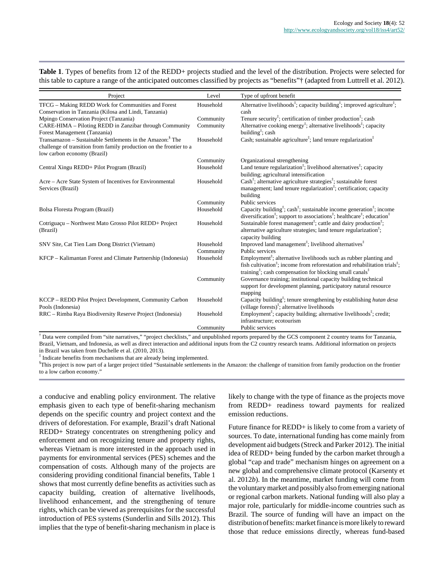**Table 1**. Types of benefits from 12 of the REDD+ projects studied and the level of the distribution. Projects were selected for this table to capture a range of the anticipated outcomes classified by projects as "benefits"† (adapted from Luttrell et al. 2012).

| Project                                                                                                                                                                     | Level     | Type of upfront benefit                                                                                                                                                                                                                                                                                                                                                           |
|-----------------------------------------------------------------------------------------------------------------------------------------------------------------------------|-----------|-----------------------------------------------------------------------------------------------------------------------------------------------------------------------------------------------------------------------------------------------------------------------------------------------------------------------------------------------------------------------------------|
| TFCG - Making REDD Work for Communities and Forest<br>Conservation in Tanzania (Kilosa and Lindi, Tanzania)                                                                 | Household | Alternative livelihoods <sup><math>\ddagger</math></sup> ; capacity building <sup><math>\ddagger</math></sup> ; improved agriculture <sup><math>\ddagger</math></sup> ;<br>cash                                                                                                                                                                                                   |
| Mpingo Conservation Project (Tanzania)                                                                                                                                      | Community | Tenure security <sup>‡</sup> ; certification of timber production <sup>‡</sup> ; cash                                                                                                                                                                                                                                                                                             |
| CARE-HIMA – Piloting REDD in Zanzibar through Community<br>Forest Management (Tanzania)                                                                                     | Community | Alternative cooking energy <sup>‡</sup> ; alternative livelihoods <sup>‡</sup> ; capacity<br>building <sup><math>\ddagger</math></sup> ; cash                                                                                                                                                                                                                                     |
| Transamazon - Sustainable Settlements in the Amazon: <sup>§</sup> The<br>challenge of transition from family production on the frontier to a<br>low carbon economy (Brazil) | Household | Cash; sustainable agriculture <sup><math>\frac{1}{2}</math></sup> ; land tenure regularization <sup><math>\frac{1}{2}</math></sup>                                                                                                                                                                                                                                                |
|                                                                                                                                                                             | Community | Organizational strengthening                                                                                                                                                                                                                                                                                                                                                      |
| Central Xingu REDD+ Pilot Program (Brazil)                                                                                                                                  | Household | Land tenure regularization <sup><math>\ddagger</math></sup> ; livelihood alternatives <sup><math>\ddagger</math></sup> ; capacity<br>building; agricultural intensification                                                                                                                                                                                                       |
| Acre – Acre State System of Incentives for Environmental<br>Services (Brazil)                                                                                               | Household | $Cash†$ ; alternative agriculture strategies <sup>†</sup> ; sustainable forest<br>management; land tenure regularization <sup><math>\ddagger</math></sup> ; certification; capacity<br>building                                                                                                                                                                                   |
|                                                                                                                                                                             | Community | Public services                                                                                                                                                                                                                                                                                                                                                                   |
| Bolsa Floresta Program (Brazil)                                                                                                                                             | Household | Capacity building <sup><math>\ddagger</math></sup> ; cash <sup><math>\ddagger</math></sup> ; sustainable income generation <sup><math>\ddagger</math></sup> ; income<br>diversification <sup>‡</sup> ; support to associations <sup>‡</sup> ; healthcare <sup>‡</sup> ; education <sup>‡</sup>                                                                                    |
| Cotriguaçu – Northwest Mato Grosso Pilot REDD+ Project<br>(Brazil)                                                                                                          | Household | Sustainable forest management <sup>‡</sup> ; cattle and dairy production <sup>‡</sup> ;<br>alternative agriculture strategies; land tenure regularization <sup>1</sup> ;<br>capacity building                                                                                                                                                                                     |
| SNV Site, Cat Tien Lam Dong District (Vietnam)                                                                                                                              | Household | Improved land management <sup>†</sup> ; livelihood alternatives <sup>†</sup>                                                                                                                                                                                                                                                                                                      |
|                                                                                                                                                                             | Community | Public services                                                                                                                                                                                                                                                                                                                                                                   |
| KFCP – Kalimantan Forest and Climate Partnership (Indonesia)                                                                                                                | Household | Employment <sup><math>\ddagger</math></sup> ; alternative livelihoods such as rubber planting and<br>fish cultivation <sup><math>\frac{1}{2}</math></sup> ; income from reforestation and rehabilitation trials <sup><math>\frac{1}{2}</math></sup> ;<br>training <sup><math>\ddagger</math></sup> ; cash compensation for blocking small canals <sup><math>\ddagger</math></sup> |
|                                                                                                                                                                             | Community | Governance training; institutional capacity building technical<br>support for development planning, participatory natural resource<br>mapping                                                                                                                                                                                                                                     |
| KCCP - REDD Pilot Project Development, Community Carbon<br>Pools (Indonesia)                                                                                                | Household | Capacity building <sup>†</sup> ; tenure strengthening by establishing <i>hutan desa</i><br>(village forests) <sup><math>\ddagger</math></sup> ; alternative livelihoods                                                                                                                                                                                                           |
| RRC – Rimba Raya Biodiversity Reserve Project (Indonesia)                                                                                                                   | Household | Employment <sup>‡</sup> ; capacity building; alternative livelihoods <sup>‡</sup> ; credit;<br>infrastructure; ecotourism                                                                                                                                                                                                                                                         |
|                                                                                                                                                                             | Community | Public services                                                                                                                                                                                                                                                                                                                                                                   |

 $^{\dagger}$  Data were compiled from "site narratives," "project checklists," and unpublished reports prepared by the GCS component 2 country teams for Tanzania, Brazil, Vietnam, and Indonesia, as well as direct interaction and additional inputs from the C2 country research teams. Additional information on projects in Brazil was taken from Duchelle et al. (2010, 2013).

‡ Indicate benefits from mechanisms that are already being implemented.

§ This project is now part of a larger project titled "Sustainable settlements in the Amazon: the challenge of transition from family production on the frontier to a low carbon economy."

a conducive and enabling policy environment. The relative emphasis given to each type of benefit-sharing mechanism depends on the specific country and project context and the drivers of deforestation. For example, Brazil's draft National REDD+ Strategy concentrates on strengthening policy and enforcement and on recognizing tenure and property rights, whereas Vietnam is more interested in the approach used in payments for environmental services (PES) schemes and the compensation of costs. Although many of the projects are considering providing conditional financial benefits, Table 1 shows that most currently define benefits as activities such as capacity building, creation of alternative livelihoods, livelihood enhancement, and the strengthening of tenure rights, which can be viewed as prerequisites for the successful introduction of PES systems (Sunderlin and Sills 2012). This implies that the type of benefit-sharing mechanism in place is likely to change with the type of finance as the projects move from REDD+ readiness toward payments for realized emission reductions.

Future finance for REDD+ is likely to come from a variety of sources. To date, international funding has come mainly from development aid budgets (Streck and Parker 2012). The initial idea of REDD+ being funded by the carbon market through a global "cap and trade" mechanism hinges on agreement on a new global and comprehensive climate protocol (Karsenty et al. 2012*b*). In the meantime, market funding will come from the voluntary market and possibly also from emerging national or regional carbon markets. National funding will also play a major role, particularly for middle-income countries such as Brazil. The source of funding will have an impact on the distribution of benefits: market finance is more likely to reward those that reduce emissions directly, whereas fund-based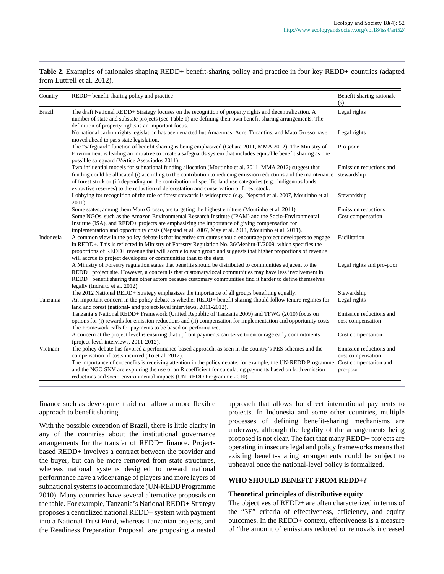**Table 2**. Examples of rationales shaping REDD+ benefit-sharing policy and practice in four key REDD+ countries (adapted from Luttrell et al. 2012).

| Country       | REDD+ benefit-sharing policy and practice                                                                                                                                                                                                                                                                                                                                                                                                             | Benefit-sharing rationale<br>(s)                |
|---------------|-------------------------------------------------------------------------------------------------------------------------------------------------------------------------------------------------------------------------------------------------------------------------------------------------------------------------------------------------------------------------------------------------------------------------------------------------------|-------------------------------------------------|
| <b>Brazil</b> | The draft National REDD+ Strategy focuses on the recognition of property rights and decentralization. A<br>number of state and substate projects (see Table 1) are defining their own benefit-sharing arrangements. The<br>definition of property rights is an important focus.                                                                                                                                                                       | Legal rights                                    |
|               | No national carbon rights legislation has been enacted but Amazonas, Acre, Tocantins, and Mato Grosso have<br>moved ahead to pass state legislation.                                                                                                                                                                                                                                                                                                  | Legal rights                                    |
|               | The "safeguard" function of benefit sharing is being emphasized (Gebara 2011, MMA 2012). The Ministry of<br>Environment is leading an initiative to create a safeguards system that includes equitable benefit sharing as one<br>possible safeguard (Vértice Associados 2011).                                                                                                                                                                        | Pro-poor                                        |
|               | Two influential models for subnational funding allocation (Moutinho et al. 2011, MMA 2012) suggest that<br>funding could be allocated (i) according to the contribution to reducing emission reductions and the maintenance stewardship<br>of forest stock or (ii) depending on the contribution of specific land use categories (e.g., indigenous lands,<br>extractive reserves) to the reduction of deforestation and conservation of forest stock. | Emission reductions and                         |
|               | Lobbying for recognition of the role of forest stewards is widespread (e.g., Nepstad et al. 2007, Moutinho et al.<br>2011)                                                                                                                                                                                                                                                                                                                            | Stewardship                                     |
|               | Some states, among them Mato Grosso, are targeting the highest emitters (Moutinho et al. 2011)<br>Some NGOs, such as the Amazon Environmental Research Institute (IPAM) and the Socio-Environmental<br>Institute (ISA), and REDD+ projects are emphasizing the importance of giving compensation for<br>implementation and opportunity costs (Nepstad et al. 2007, May et al. 2011, Moutinho et al. 2011).                                            | <b>Emission</b> reductions<br>Cost compensation |
| Indonesia     | A common view in the policy debate is that incentive structures should encourage project developers to engage<br>in REDD+. This is reflected in Ministry of Forestry Regulation No. 36/Menhut-II/2009, which specifies the<br>proportions of REDD+ revenue that will accrue to each group and suggests that higher proportions of revenue<br>will accrue to project developers or communities than to the state.                                      | Facilitation                                    |
|               | A Ministry of Forestry regulation states that benefits should be distributed to communities adjacent to the<br>REDD+ project site. However, a concern is that customary/local communities may have less involvement in<br>REDD+ benefit sharing than other actors because customary communities find it harder to define themselves<br>legally (Indrarto et al. 2012).                                                                                | Legal rights and pro-poor                       |
| Tanzania      | The 2012 National REDD+ Strategy emphasizes the importance of all groups benefiting equally.<br>An important concern in the policy debate is whether REDD+ benefit sharing should follow tenure regimes for<br>land and forest (national- and project-level interviews, 2011-2012).                                                                                                                                                                   | Stewardship<br>Legal rights                     |
|               | Tanzania's National REDD+ Framework (United Republic of Tanzania 2009) and TFWG (2010) focus on<br>options for (i) rewards for emission reductions and (ii) compensation for implementation and opportunity costs.<br>The Framework calls for payments to be based on performance.                                                                                                                                                                    | Emission reductions and<br>cost compensation    |
|               | A concern at the project level is ensuring that upfront payments can serve to encourage early commitments<br>(project-level interviews, 2011-2012).                                                                                                                                                                                                                                                                                                   | Cost compensation                               |
| Vietnam       | The policy debate has favored a performance-based approach, as seen in the country's PES schemes and the<br>compensation of costs incurred (To et al. 2012).                                                                                                                                                                                                                                                                                          | Emission reductions and<br>cost compensation    |
|               | The importance of cobenefits is receiving attention in the policy debate; for example, the UN-REDD Programme<br>and the NGO SNV are exploring the use of an R coefficient for calculating payments based on both emission<br>reductions and socio-environmental impacts (UN-REDD Programme 2010).                                                                                                                                                     | Cost compensation and<br>pro-poor               |

finance such as development aid can allow a more flexible approach to benefit sharing.

With the possible exception of Brazil, there is little clarity in any of the countries about the institutional governance arrangements for the transfer of REDD+ finance. Projectbased REDD+ involves a contract between the provider and the buyer, but can be more removed from state structures, whereas national systems designed to reward national performance have a wider range of players and more layers of subnational systems to accommodate (UN-REDD Programme 2010). Many countries have several alternative proposals on the table. For example, Tanzania's National REDD+ Strategy proposes a centralized national REDD+ system with payment into a National Trust Fund, whereas Tanzanian projects, and the Readiness Preparation Proposal, are proposing a nested

approach that allows for direct international payments to projects. In Indonesia and some other countries, multiple processes of defining benefit-sharing mechanisms are underway, although the legality of the arrangements being proposed is not clear. The fact that many REDD+ projects are operating in insecure legal and policy frameworks means that existing benefit-sharing arrangements could be subject to upheaval once the national-level policy is formalized.

# **WHO SHOULD BENEFIT FROM REDD+?**

#### **Theoretical principles of distributive equity**

The objectives of REDD+ are often characterized in terms of the "3E" criteria of effectiveness, efficiency, and equity outcomes. In the REDD+ context, effectiveness is a measure of "the amount of emissions reduced or removals increased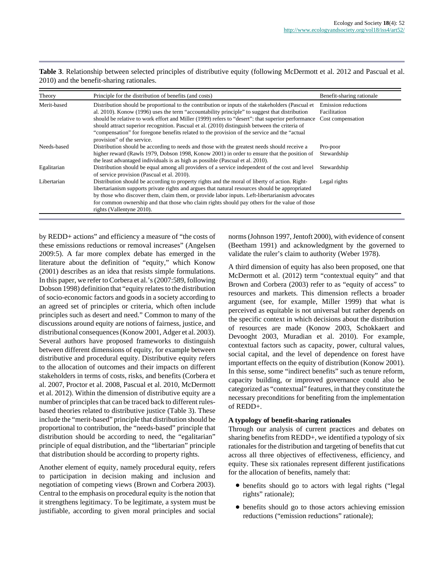| Theory      | Principle for the distribution of benefits (and costs)                                                                                                                                                                                                                                                                                                                                                                            | Benefit-sharing rationale           |
|-------------|-----------------------------------------------------------------------------------------------------------------------------------------------------------------------------------------------------------------------------------------------------------------------------------------------------------------------------------------------------------------------------------------------------------------------------------|-------------------------------------|
| Merit-based | Distribution should be proportional to the contribution or inputs of the stakeholders (Pascual et<br>al. 2010). Konow (1996) uses the term "accountability principle" to suggest that distribution                                                                                                                                                                                                                                | Emission reductions<br>Facilitation |
|             | should be relative to work effort and Miller (1999) refers to "desert": that superior performance<br>should attract superior recognition. Pascual et al. (2010) distinguish between the criteria of<br>"compensation" for foregone benefits related to the provision of the service and the "actual"<br>provision" of the service.                                                                                                | Cost compensation                   |
| Needs-based | Distribution should be according to needs and those with the greatest needs should receive a                                                                                                                                                                                                                                                                                                                                      | Pro-poor                            |
|             | higher reward (Rawls 1979, Dobson 1998, Konow 2001) in order to ensure that the position of<br>the least advantaged individuals is as high as possible (Pascual et al. 2010).                                                                                                                                                                                                                                                     | Stewardship                         |
| Egalitarian | Distribution should be equal among all providers of a service independent of the cost and level<br>of service provision (Pascual et al. 2010).                                                                                                                                                                                                                                                                                    | Stewardship                         |
| Libertarian | Distribution should be according to property rights and the moral of liberty of action. Right-<br>libertarianism supports private rights and argues that natural resources should be appropriated<br>by those who discover them, claim them, or provide labor inputs. Left-libertarianism advocates<br>for common ownership and that those who claim rights should pay others for the value of those<br>rights (Vallentyne 2010). | Legal rights                        |

**Table 3**. Relationship between selected principles of distributive equity (following McDermott et al. 2012 and Pascual et al. 2010) and the benefit-sharing rationales.

by REDD+ actions" and efficiency a measure of "the costs of these emissions reductions or removal increases" (Angelsen 2009:5). A far more complex debate has emerged in the literature about the definition of "equity," which Konow (2001) describes as an idea that resists simple formulations. In this paper, we refer to Corbera et al.'s (2007:589, following Dobson 1998) definition that "equity relates to the distribution of socio-economic factors and goods in a society according to an agreed set of principles or criteria, which often include principles such as desert and need." Common to many of the discussions around equity are notions of fairness, justice, and distributional consequences (Konow 2001, Adger et al. 2003). Several authors have proposed frameworks to distinguish between different dimensions of equity, for example between distributive and procedural equity. Distributive equity refers to the allocation of outcomes and their impacts on different stakeholders in terms of costs, risks, and benefits (Corbera et al. 2007, Proctor et al. 2008, Pascual et al. 2010, McDermott et al. 2012). Within the dimension of distributive equity are a number of principles that can be traced back to different rulesbased theories related to distributive justice (Table 3). These include the "merit-based" principle that distribution should be proportional to contribution, the "needs-based" principle that distribution should be according to need, the "egalitarian" principle of equal distribution, and the "libertarian" principle that distribution should be according to property rights.

Another element of equity, namely procedural equity, refers to participation in decision making and inclusion and negotiation of competing views (Brown and Corbera 2003). Central to the emphasis on procedural equity is the notion that it strengthens legitimacy. To be legitimate, a system must be justifiable, according to given moral principles and social norms (Johnson 1997, Jentoft 2000), with evidence of consent (Beetham 1991) and acknowledgment by the governed to validate the ruler's claim to authority (Weber 1978).

A third dimension of equity has also been proposed, one that McDermott et al. (2012) term "contextual equity" and that Brown and Corbera (2003) refer to as "equity of access" to resources and markets. This dimension reflects a broader argument (see, for example, Miller 1999) that what is perceived as equitable is not universal but rather depends on the specific context in which decisions about the distribution of resources are made (Konow 2003, Schokkaert and Devooght 2003, Muradian et al. 2010). For example, contextual factors such as capacity, power, cultural values, social capital, and the level of dependence on forest have important effects on the equity of distribution (Konow 2001). In this sense, some "indirect benefits" such as tenure reform, capacity building, or improved governance could also be categorized as "contextual" features, in that they constitute the necessary preconditions for benefiting from the implementation of REDD+.

# **A typology of benefit-sharing rationales**

Through our analysis of current practices and debates on sharing benefits from REDD+, we identified a typology of six rationales for the distribution and targeting of benefits that cut across all three objectives of effectiveness, efficiency, and equity. These six rationales represent different justifications for the allocation of benefits, namely that:

- benefits should go to actors with legal rights ("legal rights" rationale);
- benefits should go to those actors achieving emission reductions ("emission reductions" rationale);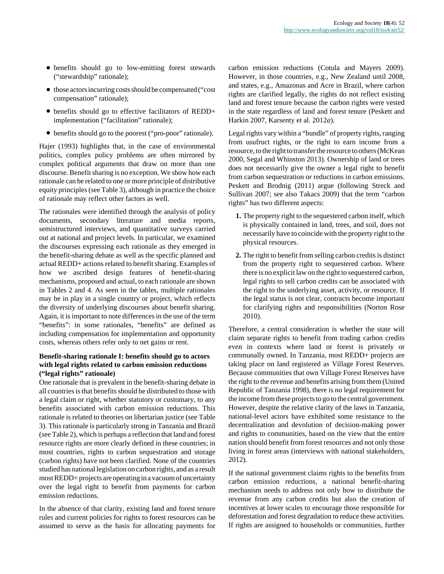- benefits should go to low-emitting forest stewards ("stewardship" rationale);
- those actors incurring costs should be compensated ("cost compensation" rationale);
- benefits should go to effective facilitators of REDD+ implementation ("facilitation" rationale);
- benefits should go to the poorest ("pro-poor" rationale).

Hajer (1993) highlights that, in the case of environmental politics, complex policy problems are often mirrored by complex political arguments that draw on more than one discourse. Benefit sharing is no exception. We show how each rationale can be related to one or more principle of distributive equity principles (see Table 3), although in practice the choice of rationale may reflect other factors as well.

The rationales were identified through the analysis of policy documents, secondary literature and media reports, semistructured interviews, and quantitative surveys carried out at national and project levels. In particular, we examined the discourses expressing each rationale as they emerged in the benefit-sharing debate as well as the specific planned and actual REDD+ actions related to benefit sharing. Examples of how we ascribed design features of benefit-sharing mechanisms, proposed and actual, to each rationale are shown in Tables 2 and 4. As seen in the tables, multiple rationales may be in play in a single country or project, which reflects the diversity of underlying discourses about benefit sharing. Again, it is important to note differences in the use of the term "benefits": in some rationales, "benefits" are defined as including compensation for implementation and opportunity costs, whereas others refer only to net gains or rent.

## **Benefit-sharing rationale I: benefits should go to actors with legal rights related to carbon emission reductions ("legal rights" rationale)**

One rationale that is prevalent in the benefit-sharing debate in all countries is that benefits should be distributed to those with a legal claim or right, whether statutory or customary, to any benefits associated with carbon emission reductions. This rationale is related to theories on libertarian justice (see Table 3). This rationale is particularly strong in Tanzania and Brazil (see Table 2), which is perhaps a reflection that land and forest resource rights are more clearly defined in these countries; in most countries, rights to carbon sequestration and storage (carbon rights) have not been clarified. None of the countries studied has national legislation on carbon rights, and as a result most REDD+ projects are operating in a vacuum of uncertainty over the legal right to benefit from payments for carbon emission reductions.

In the absence of that clarity, existing land and forest tenure rules and current policies for rights to forest resources can be assumed to serve as the basis for allocating payments for carbon emission reductions (Cotula and Mayers 2009). However, in those countries, e.g., New Zealand until 2008, and states, e.g., Amazonas and Acre in Brazil, where carbon rights are clarified legally, the rights do not reflect existing land and forest tenure because the carbon rights were vested in the state regardless of land and forest tenure (Peskett and Harkin 2007, Karsenty et al. 2012*a*).

Legal rights vary within a "bundle" of property rights, ranging from usufruct rights, or the right to earn income from a resource, to the right to transfer the resource to others (McKean 2000, Segal and Whinston 2013). Ownership of land or trees does not necessarily give the owner a legal right to benefit from carbon sequestration or reductions in carbon emissions. Peskett and Brodnig (2011) argue (following Streck and Sullivan 2007; see also Takacs 2009) that the term "carbon rights" has two different aspects:

- **1.** The property right to the sequestered carbon itself, which is physically contained in land, trees, and soil, does not necessarily have to coincide with the property right to the physical resources.
- **2.** The right to benefit from selling carbon credits is distinct from the property right to sequestered carbon. Where there is no explicit law on the right to sequestered carbon, legal rights to sell carbon credits can be associated with the right to the underlying asset, activity, or resource. If the legal status is not clear, contracts become important for clarifying rights and responsibilities (Norton Rose 2010).

Therefore, a central consideration is whether the state will claim separate rights to benefit from trading carbon credits even in contexts where land or forest is privately or communally owned. In Tanzania, most REDD+ projects are taking place on land registered as Village Forest Reserves. Because communities that own Village Forest Reserves have the right to the revenue and benefits arising from them (United Republic of Tanzania 1998), there is no legal requirement for the income from these projects to go to the central government. However, despite the relative clarity of the laws in Tanzania, national-level actors have exhibited some resistance to the decentralization and devolution of decision-making power and rights to communities, based on the view that the entire nation should benefit from forest resources and not only those living in forest areas (interviews with national stakeholders, 2012).

If the national government claims rights to the benefits from carbon emission reductions, a national benefit-sharing mechanism needs to address not only how to distribute the revenue from any carbon credits but also the creation of incentives at lower scales to encourage those responsible for deforestation and forest degradation to reduce these activities. If rights are assigned to households or communities, further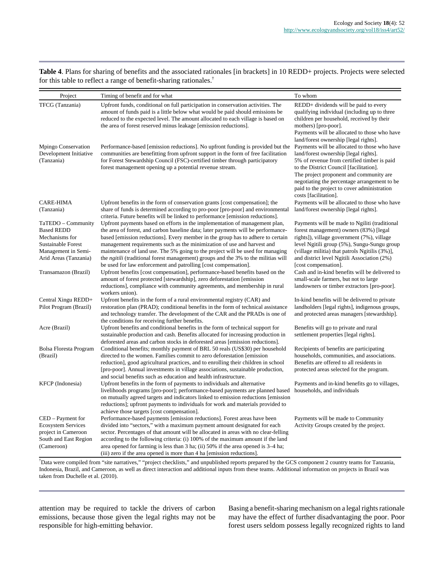**Table 4**. Plans for sharing of benefits and the associated rationales [in brackets] in 10 REDD+ projects. Projects were selected for this table to reflect a range of benefit-sharing rationales.†

| Project                                                                                                                                                 | Timing of benefit and for what                                                                                                                                                                                                                                                                                                                                                                                                                                                                                                                                                                                                                                                                                                                                                                                             | To whom                                                                                                                                                                                                                                                                                                                                                                                                                                                 |
|---------------------------------------------------------------------------------------------------------------------------------------------------------|----------------------------------------------------------------------------------------------------------------------------------------------------------------------------------------------------------------------------------------------------------------------------------------------------------------------------------------------------------------------------------------------------------------------------------------------------------------------------------------------------------------------------------------------------------------------------------------------------------------------------------------------------------------------------------------------------------------------------------------------------------------------------------------------------------------------------|---------------------------------------------------------------------------------------------------------------------------------------------------------------------------------------------------------------------------------------------------------------------------------------------------------------------------------------------------------------------------------------------------------------------------------------------------------|
| TFCG (Tanzania)                                                                                                                                         | Upfront funds, conditional on full participation in conservation activities. The<br>amount of funds paid is a little below what would be paid should emissions be<br>reduced to the expected level. The amount allocated to each village is based on<br>the area of forest reserved minus leakage [emission reductions].                                                                                                                                                                                                                                                                                                                                                                                                                                                                                                   | REDD+ dividends will be paid to every<br>qualifying individual (including up to three<br>children per household, received by their<br>mothers) [pro-poor].<br>Payments will be allocated to those who have<br>land/forest ownership [legal rights].                                                                                                                                                                                                     |
| Mpingo Conservation<br>Development Initiative<br>(Tanzania)                                                                                             | Performance-based [emission reductions]. No upfront funding is provided but the<br>communities are benefitting from upfront support in the form of free facilitation<br>for Forest Stewardship Council (FSC)-certified timber through participatory<br>forest management opening up a potential revenue stream.                                                                                                                                                                                                                                                                                                                                                                                                                                                                                                            | Payments will be allocated to those who have<br>land/forest ownership [legal rights].<br>5% of revenue from certified timber is paid<br>to the District Council [facilitation].<br>The project proponent and community are<br>negotiating the percentage arrangement to be<br>paid to the project to cover administration<br>costs [facilitation].                                                                                                      |
| <b>CARE-HIMA</b><br>(Tanzania)                                                                                                                          | Upfront benefits in the form of conservation grants [cost compensation]; the<br>share of funds is determined according to pro-poor [pro-poor] and environmental<br>criteria. Future benefits will be linked to performance [emission reductions].                                                                                                                                                                                                                                                                                                                                                                                                                                                                                                                                                                          | Payments will be allocated to those who have<br>land/forest ownership [legal rights].                                                                                                                                                                                                                                                                                                                                                                   |
| TaTEDO – Community<br><b>Based REDD</b><br>Mechanisms for<br>Sustainable Forest<br>Management in Semi-<br>Arid Areas (Tanzania)<br>Transamazon (Brazil) | Upfront payments based on efforts in the implementation of management plan,<br>the area of forest, and carbon baseline data; later payments will be performance-<br>based [emission reductions]. Every member in the group has to adhere to certain<br>management requirements such as the minimization of use and harvest and<br>maintenance of land use. The 5% going to the project will be used for managing<br>the <i>ngitili</i> (traditional forest management) groups and the 3% to the militias will<br>be used for law enforcement and patrolling [cost compensation].<br>Upfront benefits [cost compensation], performance-based benefits based on the<br>amount of forest protected [stewardship], zero deforestation [emission]<br>reductions], compliance with community agreements, and membership in rural | Payments will be made to Ngiliti (traditional<br>forest management) owners (83%) [legal<br>rights]), village government (7%), village<br>level Ngitili group (5%), Sungu-Sungu group<br>(village militia) that patrols Ngitilis (3%)],<br>and district level Ngitili Association (2%)<br>[cost compensation].<br>Cash and in-kind benefits will be delivered to<br>small-scale farmers, but not to large<br>landowners or timber extractors [pro-poor]. |
| Central Xingu REDD+<br>Pilot Program (Brazil)                                                                                                           | workers union).<br>Upfront benefits in the form of a rural environmental registry (CAR) and<br>restoration plan (PRAD); conditional benefits in the form of technical assistance<br>and technology transfer. The development of the CAR and the PRADs is one of                                                                                                                                                                                                                                                                                                                                                                                                                                                                                                                                                            | In-kind benefits will be delivered to private<br>landholders [legal rights], indigenous groups,<br>and protected areas managers [stewardship].                                                                                                                                                                                                                                                                                                          |
| Acre (Brazil)                                                                                                                                           | the conditions for receiving further benefits.<br>Upfront benefits and conditional benefits in the form of technical support for<br>sustainable production and cash. Benefits allocated for increasing production in<br>deforested areas and carbon stocks in deforested areas [emission reductions].                                                                                                                                                                                                                                                                                                                                                                                                                                                                                                                      | Benefits will go to private and rural<br>settlement properties [legal rights].                                                                                                                                                                                                                                                                                                                                                                          |
| Bolsa Floresta Program<br>(Brazil)                                                                                                                      | Conditional benefits; monthly payment of BRL 50 reals (US\$30) per household<br>directed to the women. Families commit to zero deforestation [emission<br>reduction], good agricultural practices, and to enrolling their children in school<br>[pro-poor]. Annual investments in village associations, sustainable production,                                                                                                                                                                                                                                                                                                                                                                                                                                                                                            | Recipients of benefits are participating<br>households, communities, and associations.<br>Benefits are offered to all residents in<br>protected areas selected for the program.                                                                                                                                                                                                                                                                         |
| KFCP (Indonesia)                                                                                                                                        | and social benefits such as education and health infrastructure.<br>Upfront benefits in the form of payments to individuals and alternative<br>livelihoods programs [pro-poor]; performance-based payments are planned based<br>on mutually agreed targets and indicators linked to emission reductions [emission<br>reductions]; upfront payments to individuals for work and materials provided to<br>achieve those targets [cost compensation].                                                                                                                                                                                                                                                                                                                                                                         | Payments and in-kind benefits go to villages,<br>households, and individuals                                                                                                                                                                                                                                                                                                                                                                            |
| $\text{CED} - \text{Payment}$ for<br><b>Ecosystem Services</b><br>project in Cameroon<br>South and East Region<br>(Cameroon)                            | Performance-based payments [emission reductions]. Forest areas have been<br>divided into "sectors," with a maximum payment amount designated for each<br>sector. Percentages of that amount will be allocated in areas with no clear-felling<br>according to the following criteria: (i) 100% of the maximum amount if the land<br>area opened for farming is less than 3 ha; (ii) 50% if the area opened is 3–4 ha;<br>(iii) zero if the area opened is more than 4 ha [emission reductions].                                                                                                                                                                                                                                                                                                                             | Payments will be made to Community<br>Activity Groups created by the project.                                                                                                                                                                                                                                                                                                                                                                           |

†Data were compiled from "site narratives," "project checklists," and unpublished reports prepared by the GCS component 2 country teams for Tanzania, Indonesia, Brazil, and Cameroon, as well as direct interaction and additional inputs from these teams. Additional information on projects in Brazil was taken from Duchelle et al. (2010).

attention may be required to tackle the drivers of carbon emissions, because those given the legal rights may not be responsible for high-emitting behavior.

Basing a benefit-sharing mechanism on a legal rights rationale may have the effect of further disadvantaging the poor. Poor forest users seldom possess legally recognized rights to land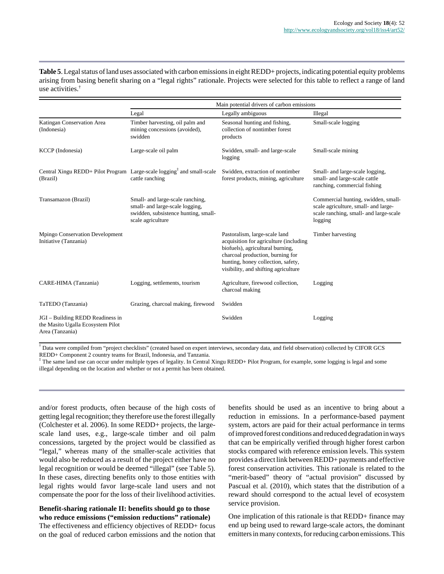**Table 5**. Legal status of land uses associated with carbon emissions in eight REDD+ projects, indicating potential equity problems arising from basing benefit sharing on a "legal rights" rationale. Projects were selected for this table to reflect a range of land use activities.†

|                                                                                          | Main potential drivers of carbon emissions                                                                                       |                                                                                                                                                                                                                               |                                                                                                                                  |
|------------------------------------------------------------------------------------------|----------------------------------------------------------------------------------------------------------------------------------|-------------------------------------------------------------------------------------------------------------------------------------------------------------------------------------------------------------------------------|----------------------------------------------------------------------------------------------------------------------------------|
|                                                                                          | Legal                                                                                                                            | Legally ambiguous                                                                                                                                                                                                             | Illegal                                                                                                                          |
| Katingan Conservation Area<br>(Indonesia)                                                | Timber harvesting, oil palm and<br>mining concessions (avoided),<br>swidden                                                      | Seasonal hunting and fishing,<br>collection of nontimber forest<br>products                                                                                                                                                   | Small-scale logging                                                                                                              |
| KCCP (Indonesia)                                                                         | Large-scale oil palm                                                                                                             | Swidden, small- and large-scale<br>logging                                                                                                                                                                                    | Small-scale mining                                                                                                               |
| (Brazil)                                                                                 | Central Xingu REDD+ Pilot Program Large-scale $\log\frac{1}{2}$ and small-scale<br>cattle ranching                               | Swidden, extraction of nontimber<br>forest products, mining, agriculture                                                                                                                                                      | Small- and large-scale logging,<br>small- and large-scale cattle<br>ranching, commercial fishing                                 |
| Transamazon (Brazil)                                                                     | Small- and large-scale ranching,<br>small- and large-scale logging,<br>swidden, subsistence hunting, small-<br>scale agriculture |                                                                                                                                                                                                                               | Commercial hunting, swidden, small-<br>scale agriculture, small- and large-<br>scale ranching, small- and large-scale<br>logging |
| <b>Mpingo Conservation Development</b><br>Initiative (Tanzania)                          |                                                                                                                                  | Pastoralism, large-scale land<br>acquisition for agriculture (including<br>biofuels), agricultural burning,<br>charcoal production, burning for<br>hunting, honey collection, safety,<br>visibility, and shifting agriculture | Timber harvesting                                                                                                                |
| CARE-HIMA (Tanzania)                                                                     | Logging, settlements, tourism                                                                                                    | Agriculture, firewood collection,<br>charcoal making                                                                                                                                                                          | Logging                                                                                                                          |
| TaTEDO (Tanzania)                                                                        | Grazing, charcoal making, firewood                                                                                               | Swidden                                                                                                                                                                                                                       |                                                                                                                                  |
| JGI - Building REDD Readiness in<br>the Masito Ugalla Ecosystem Pilot<br>Area (Tanzania) |                                                                                                                                  | Swidden                                                                                                                                                                                                                       | Logging                                                                                                                          |

† Data were compiled from "project checklists" (created based on expert interviews, secondary data, and field observation) collected by CIFOR GCS REDD+ Component 2 country teams for Brazil, Indonesia, and Tanzania.

‡ The same land use can occur under multiple types of legality. In Central Xingu REDD+ Pilot Program, for example, some logging is legal and some illegal depending on the location and whether or not a permit has been obtained.

and/or forest products, often because of the high costs of getting legal recognition; they therefore use the forest illegally (Colchester et al. 2006). In some REDD+ projects, the largescale land uses, e.g., large-scale timber and oil palm concessions, targeted by the project would be classified as "legal," whereas many of the smaller-scale activities that would also be reduced as a result of the project either have no legal recognition or would be deemed "illegal" (see Table 5). In these cases, directing benefits only to those entities with legal rights would favor large-scale land users and not compensate the poor for the loss of their livelihood activities.

**Benefit-sharing rationale II: benefits should go to those who reduce emissions ("emission reductions" rationale)** The effectiveness and efficiency objectives of REDD+ focus on the goal of reduced carbon emissions and the notion that benefits should be used as an incentive to bring about a reduction in emissions. In a performance-based payment system, actors are paid for their actual performance in terms of improved forest conditions and reduced degradation in ways that can be empirically verified through higher forest carbon stocks compared with reference emission levels. This system provides a direct link between REDD+ payments and effective forest conservation activities. This rationale is related to the "merit-based" theory of "actual provision" discussed by Pascual et al. (2010), which states that the distribution of a reward should correspond to the actual level of ecosystem service provision.

One implication of this rationale is that REDD+ finance may end up being used to reward large-scale actors, the dominant emitters in many contexts, for reducing carbon emissions. This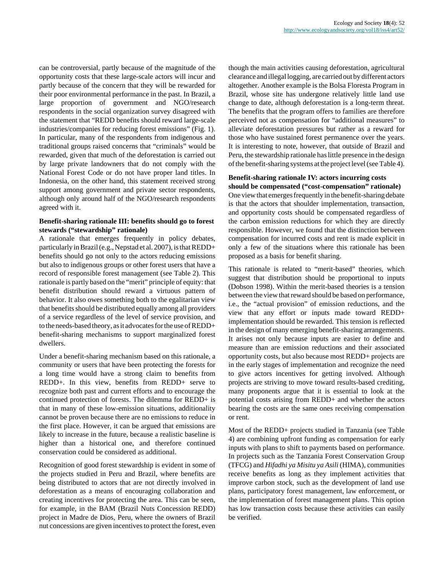can be controversial, partly because of the magnitude of the opportunity costs that these large-scale actors will incur and partly because of the concern that they will be rewarded for their poor environmental performance in the past. In Brazil, a large proportion of government and NGO/research respondents in the social organization survey disagreed with the statement that "REDD benefits should reward large-scale industries/companies for reducing forest emissions" (Fig. 1). In particular, many of the respondents from indigenous and traditional groups raised concerns that "criminals" would be rewarded, given that much of the deforestation is carried out by large private landowners that do not comply with the National Forest Code or do not have proper land titles. In Indonesia, on the other hand, this statement received strong support among government and private sector respondents, although only around half of the NGO/research respondents agreed with it.

## **Benefit-sharing rationale III: benefits should go to forest stewards ("stewardship" rationale)**

A rationale that emerges frequently in policy debates, particularly in Brazil (e.g., Nepstad et al. 2007), is that REDD+ benefits should go not only to the actors reducing emissions but also to indigenous groups or other forest users that have a record of responsible forest management (see Table 2). This rationale is partly based on the "merit" principle of equity: that benefit distribution should reward a virtuous pattern of behavior. It also owes something both to the egalitarian view that benefits should be distributed equally among all providers of a service regardless of the level of service provision, and to the needs-based theory, as it advocates for the use of REDD+ benefit-sharing mechanisms to support marginalized forest dwellers.

Under a benefit-sharing mechanism based on this rationale, a community or users that have been protecting the forests for a long time would have a strong claim to benefits from REDD+. In this view, benefits from REDD+ serve to recognize both past and current efforts and to encourage the continued protection of forests. The dilemma for REDD+ is that in many of these low-emission situations, additionality cannot be proven because there are no emissions to reduce in the first place. However, it can be argued that emissions are likely to increase in the future, because a realistic baseline is higher than a historical one, and therefore continued conservation could be considered as additional.

Recognition of good forest stewardship is evident in some of the projects studied in Peru and Brazil, where benefits are being distributed to actors that are not directly involved in deforestation as a means of encouraging collaboration and creating incentives for protecting the area. This can be seen, for example, in the BAM (Brazil Nuts Concession REDD) project in Madre de Dios, Peru, where the owners of Brazil nut concessions are given incentives to protect the forest, even though the main activities causing deforestation, agricultural clearance and illegal logging, are carried out by different actors altogether. Another example is the Bolsa Floresta Program in Brazil, whose site has undergone relatively little land use change to date, although deforestation is a long-term threat. The benefits that the program offers to families are therefore perceived not as compensation for "additional measures" to alleviate deforestation pressures but rather as a reward for those who have sustained forest permanence over the years. It is interesting to note, however, that outside of Brazil and Peru, the stewardship rationale has little presence in the design of the benefit-sharing systems at the project level (see Table 4).

# **Benefit-sharing rationale IV: actors incurring costs should be compensated ("cost-compensation" rationale)**

One view that emerges frequently in the benefit-sharing debate is that the actors that shoulder implementation, transaction, and opportunity costs should be compensated regardless of the carbon emission reductions for which they are directly responsible. However, we found that the distinction between compensation for incurred costs and rent is made explicit in only a few of the situations where this rationale has been proposed as a basis for benefit sharing.

This rationale is related to "merit-based" theories, which suggest that distribution should be proportional to inputs (Dobson 1998). Within the merit-based theories is a tension between the view that reward should be based on performance, i.e., the "actual provision" of emission reductions, and the view that any effort or inputs made toward REDD+ implementation should be rewarded. This tension is reflected in the design of many emerging benefit-sharing arrangements. It arises not only because inputs are easier to define and measure than are emission reductions and their associated opportunity costs, but also because most REDD+ projects are in the early stages of implementation and recognize the need to give actors incentives for getting involved. Although projects are striving to move toward results-based crediting, many proponents argue that it is essential to look at the potential costs arising from REDD+ and whether the actors bearing the costs are the same ones receiving compensation or rent.

Most of the REDD+ projects studied in Tanzania (see Table 4) are combining upfront funding as compensation for early inputs with plans to shift to payments based on performance. In projects such as the Tanzania Forest Conservation Group (TFCG) and *Hifadhi ya Misitu ya Asili* (HIMA), communities receive benefits as long as they implement activities that improve carbon stock, such as the development of land use plans, participatory forest management, law enforcement, or the implementation of forest management plans. This option has low transaction costs because these activities can easily be verified.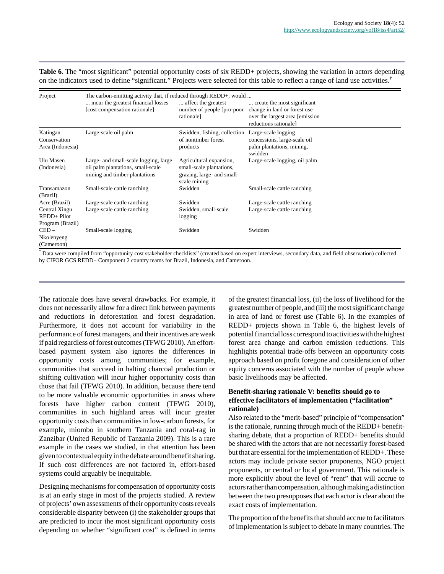**Table 6**. The "most significant" potential opportunity costs of six REDD+ projects, showing the variation in actors depending on the indicators used to define "significant." Projects were selected for this table to reflect a range of land use activities.†

| Project                                          | The carbon-emitting activity that, if reduced through REDD+, would                                          |                                                                                                   |                                                                                                                           |
|--------------------------------------------------|-------------------------------------------------------------------------------------------------------------|---------------------------------------------------------------------------------------------------|---------------------------------------------------------------------------------------------------------------------------|
|                                                  | incur the greatest financial losses<br>[cost compensation rationale]                                        | affect the greatest<br>number of people [pro-poor<br>rationale]                                   | create the most significant.<br>change in land or forest use<br>over the largest area [emission]<br>reductions rationale] |
| Katingan<br>Conservation<br>Area (Indonesia)     | Large-scale oil palm                                                                                        | Swidden, fishing, collection<br>of nontimber forest<br>products                                   | Large-scale logging<br>concessions, large-scale oil<br>palm plantations, mining,<br>swidden                               |
| Ulu Masen<br>(Indonesia)                         | Large- and small-scale logging, large<br>oil palm plantations, small-scale<br>mining and timber plantations | Agricultural expansion,<br>small-scale plantations,<br>grazing, large- and small-<br>scale mining | Large-scale logging, oil palm                                                                                             |
| Transamazon<br>(Brazil)                          | Small-scale cattle ranching                                                                                 | Swidden                                                                                           | Small-scale cattle ranching                                                                                               |
| Acre (Brazil)                                    | Large-scale cattle ranching                                                                                 | Swidden                                                                                           | Large-scale cattle ranching                                                                                               |
| Central Xingu<br>REDD+ Pilot<br>Program (Brazil) | Large-scale cattle ranching                                                                                 | Swidden, small-scale<br>logging                                                                   | Large-scale cattle ranching                                                                                               |
| $\mathrm{CED}-$<br>Nkolenyeng<br>(Cameroon)      | Small-scale logging                                                                                         | Swidden                                                                                           | Swidden                                                                                                                   |

† Data were compiled from "opportunity cost stakeholder checklists" (created based on expert interviews, secondary data, and field observation) collected by CIFOR GCS REDD+ Component 2 country teams for Brazil, Indonesia, and Cameroon.

The rationale does have several drawbacks. For example, it does not necessarily allow for a direct link between payments and reductions in deforestation and forest degradation. Furthermore, it does not account for variability in the performance of forest managers, and their incentives are weak if paid regardless of forest outcomes (TFWG 2010). An effortbased payment system also ignores the differences in opportunity costs among communities; for example, communities that succeed in halting charcoal production or shifting cultivation will incur higher opportunity costs than those that fail (TFWG 2010). In addition, because there tend to be more valuable economic opportunities in areas where forests have higher carbon content (TFWG 2010), communities in such highland areas will incur greater opportunity costs than communities in low-carbon forests, for example, miombo in southern Tanzania and coral-rag in Zanzibar (United Republic of Tanzania 2009). This is a rare example in the cases we studied, in that attention has been given to contextual equity in the debate around benefit sharing. If such cost differences are not factored in, effort-based systems could arguably be inequitable.

Designing mechanisms for compensation of opportunity costs is at an early stage in most of the projects studied. A review of projects' own assessments of their opportunity costs reveals considerable disparity between (i) the stakeholder groups that are predicted to incur the most significant opportunity costs depending on whether "significant cost" is defined in terms of the greatest financial loss, (ii) the loss of livelihood for the greatest number of people, and (iii) the most significant change in area of land or forest use (Table 6). In the examples of REDD+ projects shown in Table 6, the highest levels of potential financial loss correspond to activities with the highest forest area change and carbon emission reductions. This highlights potential trade-offs between an opportunity costs approach based on profit foregone and consideration of other equity concerns associated with the number of people whose basic livelihoods may be affected.

# **Benefit-sharing rationale V: benefits should go to effective facilitators of implementation ("facilitation" rationale)**

Also related to the "merit-based" principle of "compensation" is the rationale, running through much of the REDD+ benefitsharing debate, that a proportion of REDD+ benefits should be shared with the actors that are not necessarily forest-based but that are essential for the implementation of REDD+. These actors may include private sector proponents, NGO project proponents, or central or local government. This rationale is more explicitly about the level of "rent" that will accrue to actors rather than compensation, although making a distinction between the two presupposes that each actor is clear about the exact costs of implementation.

The proportion of the benefits that should accrue to facilitators of implementation is subject to debate in many countries. The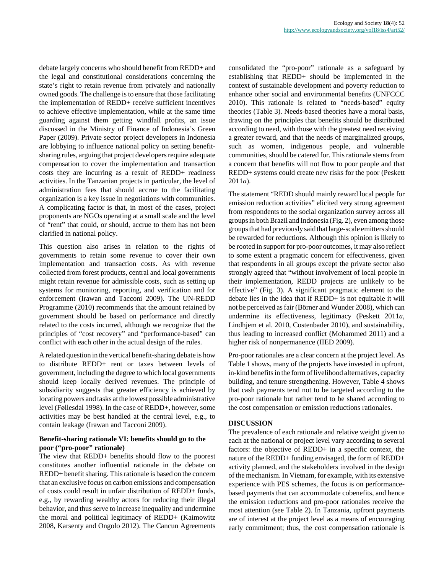debate largely concerns who should benefit from REDD+ and the legal and constitutional considerations concerning the state's right to retain revenue from privately and nationally owned goods. The challenge is to ensure that those facilitating the implementation of REDD+ receive sufficient incentives to achieve effective implementation, while at the same time guarding against them getting windfall profits, an issue discussed in the Ministry of Finance of Indonesia's Green Paper (2009). Private sector project developers in Indonesia are lobbying to influence national policy on setting benefitsharing rules, arguing that project developers require adequate compensation to cover the implementation and transaction costs they are incurring as a result of REDD+ readiness activities. In the Tanzanian projects in particular, the level of administration fees that should accrue to the facilitating organization is a key issue in negotiations with communities. A complicating factor is that, in most of the cases, project proponents are NGOs operating at a small scale and the level of "rent" that could, or should, accrue to them has not been clarified in national policy.

This question also arises in relation to the rights of governments to retain some revenue to cover their own implementation and transaction costs. As with revenue collected from forest products, central and local governments might retain revenue for admissible costs, such as setting up systems for monitoring, reporting, and verification and for enforcement (Irawan and Tacconi 2009). The UN-REDD Programme (2010) recommends that the amount retained by government should be based on performance and directly related to the costs incurred, although we recognize that the principles of "cost recovery" and "performance-based" can conflict with each other in the actual design of the rules.

A related question in the vertical benefit-sharing debate is how to distribute REDD+ rent or taxes between levels of government, including the degree to which local governments should keep locally derived revenues. The principle of subsidiarity suggests that greater efficiency is achieved by locating powers and tasks at the lowest possible administrative level (Føllesdal 1998). In the case of REDD+, however, some activities may be best handled at the central level, e.g., to contain leakage (Irawan and Tacconi 2009).

### **Benefit-sharing rationale VI: benefits should go to the poor ("pro-poor" rationale)**

The view that REDD+ benefits should flow to the poorest constitutes another influential rationale in the debate on REDD+ benefit sharing. This rationale is based on the concern that an exclusive focus on carbon emissions and compensation of costs could result in unfair distribution of REDD+ funds, e.g., by rewarding wealthy actors for reducing their illegal behavior, and thus serve to increase inequality and undermine the moral and political legitimacy of REDD+ (Kaimowitz 2008, Karsenty and Ongolo 2012). The Cancun Agreements consolidated the "pro-poor" rationale as a safeguard by establishing that REDD+ should be implemented in the context of sustainable development and poverty reduction to enhance other social and environmental benefits (UNFCCC 2010). This rationale is related to "needs-based" equity theories (Table 3). Needs-based theories have a moral basis, drawing on the principles that benefits should be distributed according to need, with those with the greatest need receiving a greater reward, and that the needs of marginalized groups, such as women, indigenous people, and vulnerable communities, should be catered for. This rationale stems from a concern that benefits will not flow to poor people and that REDD+ systems could create new risks for the poor (Peskett 2011*a*).

The statement "REDD should mainly reward local people for emission reduction activities" elicited very strong agreement from respondents to the social organization survey across all groups in both Brazil and Indonesia (Fig. 2), even among those groups that had previously said that large-scale emitters should be rewarded for reductions. Although this opinion is likely to be rooted in support for pro-poor outcomes, it may also reflect to some extent a pragmatic concern for effectiveness, given that respondents in all groups except the private sector also strongly agreed that "without involvement of local people in their implementation, REDD projects are unlikely to be effective" (Fig. 3). A significant pragmatic element to the debate lies in the idea that if REDD+ is not equitable it will not be perceived as fair (Börner and Wunder 2008), which can undermine its effectiveness, legitimacy (Peskett 2011*a*, Lindhjem et al. 2010, Costenbader 2010), and sustainability, thus leading to increased conflict (Mohammed 2011) and a higher risk of nonpermanence (IIED 2009).

Pro-poor rationales are a clear concern at the project level. As Table 1 shows, many of the projects have invested in upfront, in-kind benefits in the form of livelihood alternatives, capacity building, and tenure strengthening. However, Table 4 shows that cash payments tend not to be targeted according to the pro-poor rationale but rather tend to be shared according to the cost compensation or emission reductions rationales.

# **DISCUSSION**

The prevalence of each rationale and relative weight given to each at the national or project level vary according to several factors: the objective of REDD+ in a specific context, the nature of the REDD+ funding envisaged, the form of REDD+ activity planned, and the stakeholders involved in the design of the mechanism. In Vietnam, for example, with its extensive experience with PES schemes, the focus is on performancebased payments that can accommodate cobenefits, and hence the emission reductions and pro-poor rationales receive the most attention (see Table 2). In Tanzania, upfront payments are of interest at the project level as a means of encouraging early commitment; thus, the cost compensation rationale is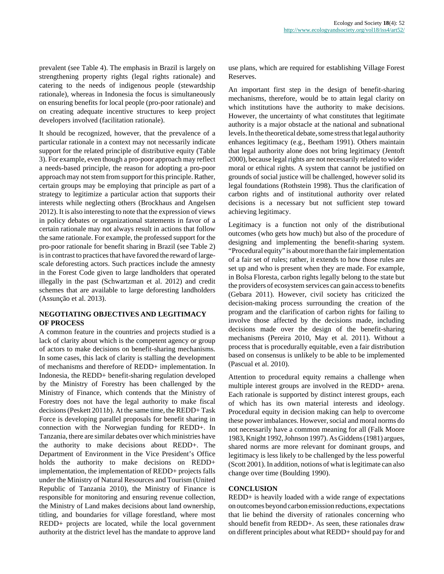prevalent (see Table 4). The emphasis in Brazil is largely on strengthening property rights (legal rights rationale) and catering to the needs of indigenous people (stewardship rationale), whereas in Indonesia the focus is simultaneously on ensuring benefits for local people (pro-poor rationale) and on creating adequate incentive structures to keep project developers involved (facilitation rationale).

It should be recognized, however, that the prevalence of a particular rationale in a context may not necessarily indicate support for the related principle of distributive equity (Table 3). For example, even though a pro-poor approach may reflect a needs-based principle, the reason for adopting a pro-poor approach may not stem from support for this principle. Rather, certain groups may be employing that principle as part of a strategy to legitimize a particular action that supports their interests while neglecting others (Brockhaus and Angelsen 2012). It is also interesting to note that the expression of views in policy debates or organizational statements in favor of a certain rationale may not always result in actions that follow the same rationale. For example, the professed support for the pro-poor rationale for benefit sharing in Brazil (see Table 2) is in contrast to practices that have favored the reward of largescale deforesting actors. Such practices include the amnesty in the Forest Code given to large landholders that operated illegally in the past (Schwartzman et al. 2012) and credit schemes that are available to large deforesting landholders (Assunção et al. 2013).

# **NEGOTIATING OBJECTIVES AND LEGITIMACY OF PROCESS**

A common feature in the countries and projects studied is a lack of clarity about which is the competent agency or group of actors to make decisions on benefit-sharing mechanisms. In some cases, this lack of clarity is stalling the development of mechanisms and therefore of REDD+ implementation. In Indonesia, the REDD+ benefit-sharing regulation developed by the Ministry of Forestry has been challenged by the Ministry of Finance, which contends that the Ministry of Forestry does not have the legal authority to make fiscal decisions (Peskett 2011*b*). At the same time, the REDD+ Task Force is developing parallel proposals for benefit sharing in connection with the Norwegian funding for REDD+. In Tanzania, there are similar debates over which ministries have the authority to make decisions about REDD+. The Department of Environment in the Vice President's Office holds the authority to make decisions on REDD+ implementation, the implementation of REDD+ projects falls under the Ministry of Natural Resources and Tourism (United Republic of Tanzania 2010), the Ministry of Finance is responsible for monitoring and ensuring revenue collection, the Ministry of Land makes decisions about land ownership, titling, and boundaries for village forestland, where most REDD+ projects are located, while the local government authority at the district level has the mandate to approve land

use plans, which are required for establishing Village Forest Reserves.

An important first step in the design of benefit-sharing mechanisms, therefore, would be to attain legal clarity on which institutions have the authority to make decisions. However, the uncertainty of what constitutes that legitimate authority is a major obstacle at the national and subnational levels. In the theoretical debate, some stress that legal authority enhances legitimacy (e.g., Beetham 1991). Others maintain that legal authority alone does not bring legitimacy (Jentoft 2000), because legal rights are not necessarily related to wider moral or ethical rights. A system that cannot be justified on grounds of social justice will be challenged, however solid its legal foundations (Rothstein 1998). Thus the clarification of carbon rights and of institutional authority over related decisions is a necessary but not sufficient step toward achieving legitimacy.

Legitimacy is a function not only of the distributional outcomes (who gets how much) but also of the procedure of designing and implementing the benefit-sharing system. "Procedural equity" is about more than the fair implementation of a fair set of rules; rather, it extends to how those rules are set up and who is present when they are made. For example, in Bolsa Floresta, carbon rights legally belong to the state but the providers of ecosystem services can gain access to benefits (Gebara 2011). However, civil society has criticized the decision-making process surrounding the creation of the program and the clarification of carbon rights for failing to involve those affected by the decisions made, including decisions made over the design of the benefit-sharing mechanisms (Pereira 2010, May et al. 2011). Without a process that is procedurally equitable, even a fair distribution based on consensus is unlikely to be able to be implemented (Pascual et al. 2010).

Attention to procedural equity remains a challenge when multiple interest groups are involved in the REDD+ arena. Each rationale is supported by distinct interest groups, each of which has its own material interests and ideology. Procedural equity in decision making can help to overcome these power imbalances. However, social and moral norms do not necessarily have a common meaning for all (Falk Moore 1983, Knight 1992, Johnson 1997). As Giddens (1981) argues, shared norms are more relevant for dominant groups, and legitimacy is less likely to be challenged by the less powerful (Scott 2001). In addition, notions of what is legitimate can also change over time (Boulding 1990).

# **CONCLUSION**

REDD+ is heavily loaded with a wide range of expectations on outcomes beyond carbon emission reductions, expectations that lie behind the diversity of rationales concerning who should benefit from REDD+. As seen, these rationales draw on different principles about what REDD+ should pay for and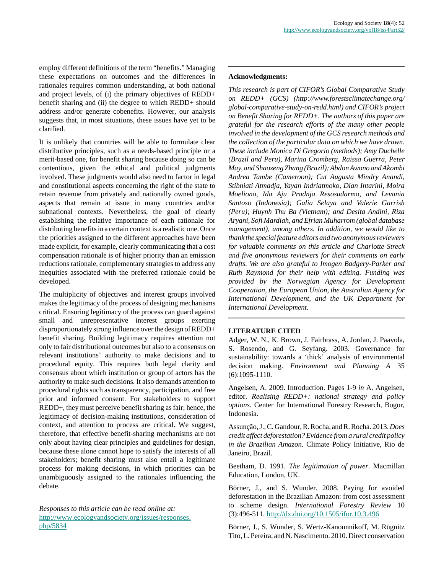employ different definitions of the term "benefits." Managing these expectations on outcomes and the differences in rationales requires common understanding, at both national and project levels, of (i) the primary objectives of REDD+ benefit sharing and (ii) the degree to which REDD+ should address and/or generate cobenefits. However, our analysis suggests that, in most situations, these issues have yet to be clarified.

It is unlikely that countries will be able to formulate clear distributive principles, such as a needs-based principle or a merit-based one, for benefit sharing because doing so can be contentious, given the ethical and political judgments involved. These judgments would also need to factor in legal and constitutional aspects concerning the right of the state to retain revenue from privately and nationally owned goods, aspects that remain at issue in many countries and/or subnational contexts. Nevertheless, the goal of clearly establishing the relative importance of each rationale for distributing benefits in a certain context is a realistic one. Once the priorities assigned to the different approaches have been made explicit, for example, clearly communicating that a cost compensation rationale is of higher priority than an emission reductions rationale, complementary strategies to address any inequities associated with the preferred rationale could be developed.

The multiplicity of objectives and interest groups involved makes the legitimacy of the process of designing mechanisms critical. Ensuring legitimacy of the process can guard against small and unrepresentative interest groups exerting disproportionately strong influence over the design of REDD+ benefit sharing. Building legitimacy requires attention not only to fair distributional outcomes but also to a consensus on relevant institutions' authority to make decisions and to procedural equity. This requires both legal clarity and consensus about which institution or group of actors has the authority to make such decisions. It also demands attention to procedural rights such as transparency, participation, and free prior and informed consent. For stakeholders to support REDD+, they must perceive benefit sharing as fair; hence, the legitimacy of decision-making institutions, consideration of context, and attention to process are critical. We suggest, therefore, that effective benefit-sharing mechanisms are not only about having clear principles and guidelines for design, because these alone cannot hope to satisfy the interests of all stakeholders; benefit sharing must also entail a legitimate process for making decisions, in which priorities can be unambiguously assigned to the rationales influencing the debate.

*Responses to this article can be read online at:* [http://www.ecologyandsociety.org/issues/responses.](http://www.ecologyandsociety.org/issues/responses.php/5834) [php/5834](http://www.ecologyandsociety.org/issues/responses.php/5834)

#### **Acknowledgments:**

*This research is part of CIFOR's Global Comparative Study on REDD+ (GCS) (http://www.forestsclimatechange.org/ global-comparative-study-on-redd.html) and CIFOR's project on Benefit Sharing for REDD+. The authors of this paper are grateful for the research efforts of the many other people involved in the development of the GCS research methods and the collection of the particular data on which we have drawn. These include Monica Di Gregorio (methods); Amy Duchelle (Brazil and Peru), Marina Cromberg, Raissa Guerra, Peter May, and Shaozeng Zhang (Brazil); Abdon Awono and Akombi Andrea Tambe (Cameroon); Cut Augusta Mindry Anandi, Stibniati Atmadja, Yayan Indriatmoko, Dian Intarini, Moira Moeliono, Ida Aju Pradnja Resosudarmo, and Levania Santoso (Indonesia); Galia Selaya and Valerie Garrish (Peru); Huynh Thu Ba (Vietnam); and Desita Andini, Riza Aryani, Sofi Mardiah, and Efrian Muharrom (global database management), among others. In addition, we would like to thank the special feature editors and two anonymous reviewers for valuable comments on this article and Charlotte Streck and five anonymous reviewers for their comments on early drafts. We are also grateful to Imogen Badgery-Parker and Ruth Raymond for their help with editing. Funding was provided by the Norwegian Agency for Development Cooperation, the European Union, the Australian Agency for International Development, and the UK Department for International Development.*

#### **LITERATURE CITED**

Adger, W. N., K. Brown, J. Fairbrass, A. Jordan, J. Paavola, S. Rosendo, and G. Seyfang. 2003. Governance for sustainability: towards a 'thick' analysis of environmental decision making. *Environment and Planning A* 35 (6):1095-1110.

Angelsen, A. 2009. Introduction. Pages 1-9 *in* A. Angelsen, editor. *Realising REDD+: national strategy and policy options*. Center for International Forestry Research, Bogor, Indonesia.

Assunção, J., C. Gandour, R. Rocha, and R. Rocha. 2013. *Does credit affect deforestation? Evidence from a rural credit policy in the Brazilian Amazon.* Climate Policy Initiative, Rio de Janeiro, Brazil.

Beetham, D. 1991. *The legitimation of power*. Macmillan Education, London, UK.

Börner, J., and S. Wunder. 2008. Paying for avoided deforestation in the Brazilian Amazon: from cost assessment to scheme design. *International Forestry Review* 10 (3):496-511. <http://dx.doi.org/10.1505/ifor.10.3.496>

Börner, J., S. Wunder, S. Wertz-Kanounnikoff, M. Rügnitz Tito, L. Pereira, and N. Nascimento. 2010. Direct conservation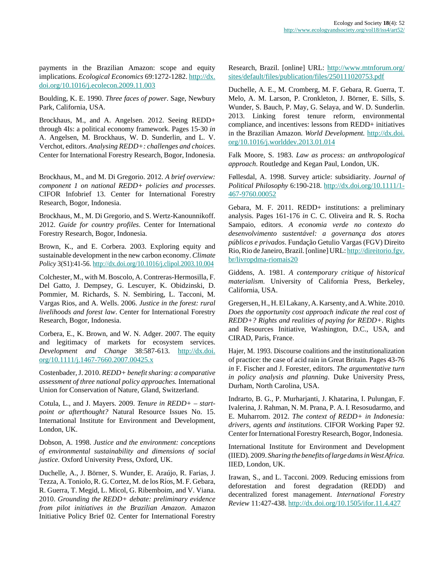payments in the Brazilian Amazon: scope and equity implications. *Ecological Economics* 69:1272-1282. [http://dx.](http://dx.doi.org/10.1016/j.ecolecon.2009.11.003) [doi.org/10.1016/j.ecolecon.2009.11.003](http://dx.doi.org/10.1016/j.ecolecon.2009.11.003)

Boulding, K. E. 1990. *Three faces of power*. Sage, Newbury Park, California, USA.

Brockhaus, M., and A. Angelsen. 2012. Seeing REDD+ through 4Is: a political economy framework. Pages 15-30 *in* A. Angelsen, M. Brockhaus, W. D. Sunderlin, and L. V. Verchot, editors. *Analysing REDD+: challenges and choices*. Center for International Forestry Research, Bogor, Indonesia.

Brockhaus, M., and M. Di Gregorio. 2012. *A brief overview: component 1 on national REDD+ policies and processes*. CIFOR Infobrief 13. Center for International Forestry Research, Bogor, Indonesia.

Brockhaus, M., M. Di Gregorio, and S. Wertz-Kanounnikoff. 2012. *Guide for country profiles*. Center for International Forestry Research, Bogor, Indonesia.

Brown, K., and E. Corbera. 2003. Exploring equity and sustainable development in the new carbon economy. *Climate Policy* 3(S1):41-56. <http://dx.doi.org/10.1016/j.clipol.2003.10.004>

Colchester, M., with M. Boscolo, A. Contreras-Hermosilla, F. Del Gatto, J. Dempsey, G. Lescuyer, K. Obidzinski, D. Pommier, M. Richards, S. N. Sembiring, L. Tacconi, M. Vargas Rios, and A. Wells. 2006. *Justice in the forest: rural livelihoods and forest law*. Center for International Forestry Research, Bogor, Indonesia.

Corbera, E., K. Brown, and W. N. Adger. 2007. The equity and legitimacy of markets for ecosystem services. *Development and Change* 38:587-613. [http://dx.doi.](http://dx.doi.org/10.1111/j.1467-7660.2007.00425.x) [org/10.1111/j.1467-7660.2007.00425.x](http://dx.doi.org/10.1111/j.1467-7660.2007.00425.x)

Costenbader, J. 2010. *REDD+ benefit sharing: a comparative assessment of three national policy approaches.* International Union for Conservation of Nature, Gland, Switzerland.

Cotula, L., and J. Mayers. 2009. *Tenure in REDD+ – startpoint or afterthought?* Natural Resource Issues No. 15. International Institute for Environment and Development, London, UK.

Dobson, A. 1998. *Justice and the environment: conceptions of environmental sustainability and dimensions of social justice.* Oxford University Press, Oxford, UK.

Duchelle, A., J. Börner, S. Wunder, E. Araújo, R. Farias, J. Tezza, A. Toniolo, R. G. Cortez, M. de los Ríos, M. F. Gebara, R. Guerra, T. Megid, L. Micol, G. Ribemboim, and V. Viana. 2010. *Grounding the REDD+ debate: preliminary evidence from pilot initiatives in the Brazilian Amazon*. Amazon Initiative Policy Brief 02. Center for International Forestry

Research, Brazil. [online] URL: [http://www.mtnforum.org/](http://www.mtnforum.org/sites/default/files/publication/files/250111020753.pdf) [sites/default/files/publication/files/250111020753.pdf](http://www.mtnforum.org/sites/default/files/publication/files/250111020753.pdf)

Duchelle, A. E., M. Cromberg, M. F. Gebara, R. Guerra, T. Melo, A. M. Larson, P. Cronkleton, J. Börner, E. Sills, S. Wunder, S. Bauch, P. May, G. Selaya, and W. D. Sunderlin. 2013. Linking forest tenure reform, environmental compliance, and incentives: lessons from REDD+ initiatives in the Brazilian Amazon. *World Development.* [http://dx.doi.](http://dx.doi.org/10.1016/j.worlddev.2013.01.014) [org/10.1016/j.worlddev.2013.01.014](http://dx.doi.org/10.1016/j.worlddev.2013.01.014)

Falk Moore, S. 1983. *Law as process: an anthropological approach*. Routledge and Kegan Paul, London, UK.

Føllesdal, A. 1998. Survey article: subsidiarity. *Journal of Political Philosophy* 6:190-218. [http://dx.doi.org/10.1111/1-](http://dx.doi.org/10.1111/1467-9760.00052) [467-9760.00052](http://dx.doi.org/10.1111/1467-9760.00052)

Gebara, M. F. 2011. REDD+ institutions: a preliminary analysis. Pages 161-176 *in* C. C. Oliveira and R. S. Rocha Sampaio, editors. *A economia verde no contexto do desenvolvimento sustentável: a governança dos atores públicos e privados*. Fundação Getulio Vargas (FGV) Direito Rio, Rio de Janeiro, Brazil. [online] URL: [http://direitorio.fgv.](http://direitorio.fgv.br/livropdma-riomais20) [br/livropdma-riomais20](http://direitorio.fgv.br/livropdma-riomais20)

Giddens, A. 1981. *A contemporary critique of historical materialism*. University of California Press, Berkeley, California, USA.

Gregersen, H., H. El Lakany, A. Karsenty, and A. White. 2010. *Does the opportunity cost approach indicate the real cost of REDD+? Rights and realities of paying for REDD+.* Rights and Resources Initiative, Washington, D.C., USA, and CIRAD, Paris, France.

Hajer, M. 1993. Discourse coalitions and the institutionalization of practice: the case of acid rain in Great Britain. Pages 43-76 *in* F. Fischer and J. Forester, editors. *The argumentative turn in policy analysis and planning*. Duke University Press, Durham, North Carolina, USA.

Indrarto, B. G., P. Murharjanti, J. Khatarina, I. Pulungan, F. Ivalerina, J. Rahman, N. M. Prana, P. A. I. Resosudarmo, and E. Muharrom. 2012. *The context of REDD+ in Indonesia: drivers, agents and institutions*. CIFOR Working Paper 92. Center for International Forestry Research, Bogor, Indonesia.

International Institute for Environment and Development (IIED). 2009. *Sharing the benefits of large dams in West Africa.* IIED, London, UK.

Irawan, S., and L. Tacconi. 2009. Reducing emissions from deforestation and forest degradation (REDD) and decentralized forest management. *International Forestry Review* 11:427-438.<http://dx.doi.org/10.1505/ifor.11.4.427>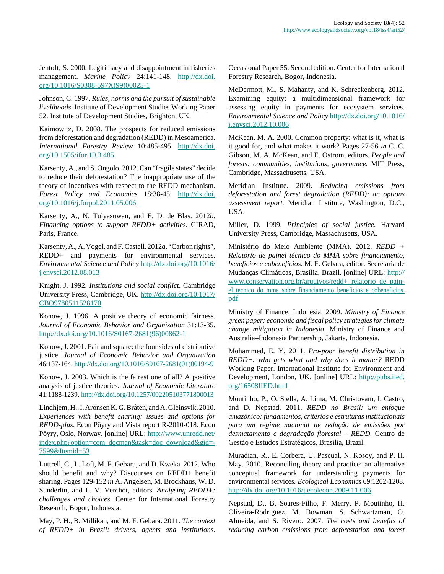Jentoft, S. 2000. Legitimacy and disappointment in fisheries management. *Marine Policy* 24:141-148. [http://dx.doi.](http://dx.doi.org/10.1016/S0308-597X(99)00025-1) [org/10.1016/S0308-597X\(99\)00025-1](http://dx.doi.org/10.1016/S0308-597X(99)00025-1)

Johnson, C. 1997. *Rules, norms and the pursuit of sustainable livelihoods*. Institute of Development Studies Working Paper 52. Institute of Development Studies, Brighton, UK.

Kaimowitz, D. 2008. The prospects for reduced emissions from deforestation and degradation (REDD) in Mesoamerica. *International Forestry Review* 10:485-495. [http://dx.doi.](http://dx.doi.org/10.1505/ifor.10.3.485) [org/10.1505/ifor.10.3.485](http://dx.doi.org/10.1505/ifor.10.3.485)

Karsenty, A., and S. Ongolo. 2012. Can "fragile states" decide to reduce their deforestation? The inappropriate use of the theory of incentives with respect to the REDD mechanism. *Forest Policy and Economics* 18:38-45. [http://dx.doi.](http://dx.doi.org/10.1016/j.forpol.2011.05.006) [org/10.1016/j.forpol.2011.05.006](http://dx.doi.org/10.1016/j.forpol.2011.05.006)

Karsenty, A., N. Tulyasuwan, and E. D. de Blas. 2012*b*. *Financing options to support REDD+ activities*. CIRAD, Paris, France.

Karsenty, A., A. Vogel, and F. Castell. 2012*a*. "Carbon rights", REDD+ and payments for environmental services. *Environmental Science and Policy* [http://dx.doi.org/10.1016/](http://dx.doi.org/10.1016/j.envsci.2012.08.013) [j.envsci.2012.08.013](http://dx.doi.org/10.1016/j.envsci.2012.08.013)

Knight, J. 1992. *Institutions and social conflict*. Cambridge University Press, Cambridge, UK. [http://dx.doi.org/10.1017/](http://dx.doi.org/10.1017/CBO9780511528170) [CBO9780511528170](http://dx.doi.org/10.1017/CBO9780511528170)

Konow, J. 1996. A positive theory of economic fairness. *Journal of Economic Behavior and Organization* 31:13-35. [http://dx.doi.org/10.1016/S0167-2681\(96\)00862-1](http://dx.doi.org/10.1016/S0167-2681(96)00862-1)

Konow, J. 2001. Fair and square: the four sides of distributive justice. *Journal of Economic Behavior and Organization* 46:137-164. [http://dx.doi.org/10.1016/S0167-2681\(01\)00194-9](http://dx.doi.org/10.1016/S0167-2681(01)00194-9)

Konow, J. 2003. Which is the fairest one of all? A positive analysis of justice theories. *Journal of Economic Literature* 41:1188-1239. <http://dx.doi.org/10.1257/002205103771800013>

Lindhjem, H., I. Aronsen K. G. Bråten, and A. Gleinsvik. 2010. *Experiences with benefit sharing: issues and options for REDD-plus*. Econ Pöyry and Vista report R-2010-018. Econ Pöyry, Oslo, Norway. [online] URL: [http://www.unredd.net/](http://www.unredd.net/index.php?option=com_docman&task=doc_download&gid=7599&Itemid=53) [index.php?option=com\\_docman&task=doc\\_download&gid=-](http://www.unredd.net/index.php?option=com_docman&task=doc_download&gid=7599&Itemid=53) [7599&Itemid=53](http://www.unredd.net/index.php?option=com_docman&task=doc_download&gid=7599&Itemid=53)

Luttrell, C., L. Loft, M. F. Gebara, and D. Kweka. 2012. Who should benefit and why? Discourses on REDD+ benefit sharing. Pages 129-152 *in* A. Angelsen, M. Brockhaus, W. D. Sunderlin, and L. V. Verchot, editors. *Analysing REDD+: challenges and choices.* Center for International Forestry Research, Bogor, Indonesia.

May, P. H., B. Millikan, and M. F. Gebara. 2011. *The context of REDD+ in Brazil: drivers, agents and institutions*. Occasional Paper 55. Second edition. Center for International Forestry Research, Bogor, Indonesia.

McDermott, M., S. Mahanty, and K. Schreckenberg. 2012. Examining equity: a multidimensional framework for assessing equity in payments for ecosystem services. *Environmental Science and Policy* [http://dx.doi.org/10.1016/](http://dx.doi.org/10.1016/j.envsci.2012.10.006) [j.envsci.2012.10.006](http://dx.doi.org/10.1016/j.envsci.2012.10.006)

McKean, M. A. 2000. Common property: what is it, what is it good for, and what makes it work? Pages 27-56 *in* C. C. Gibson, M. A. McKean, and E. Ostrom, editors. *People and forests: communities, institutions, governance.* MIT Press, Cambridge, Massachusetts, USA.

Meridian Institute. 2009. *Reducing emissions from deforestation and forest degradation (REDD): an options assessment report.* Meridian Institute, Washington, D.C., USA.

Miller, D. 1999. *Principles of social justice*. Harvard University Press, Cambridge, Massachusetts, USA.

Ministério do Meio Ambiente (MMA). 2012. *REDD + Relatório de painel técnico do MMA sobre financiamento, benefícios e cobeneficios.* M. F. Gebara, editor. Secretaria de Mudanças Climáticas, Brasília, Brazil. [online] URL: [http://](http://www.conservation.org.br/arquivos/redd+_relatorio_de_painel_tecnico_do_mma_sobre_financiamento_beneficios_e_cobeneficios.pdf) [www.conservation.org.br/arquivos/redd+\\_relatorio\\_de\\_pain](http://www.conservation.org.br/arquivos/redd+_relatorio_de_painel_tecnico_do_mma_sobre_financiamento_beneficios_e_cobeneficios.pdf)el tecnico do mma sobre financiamento beneficios e cobeneficios. [pdf](http://www.conservation.org.br/arquivos/redd+_relatorio_de_painel_tecnico_do_mma_sobre_financiamento_beneficios_e_cobeneficios.pdf)

Ministry of Finance, Indonesia. 2009. *Ministry of Finance green paper: economic and fiscal policy strategies for climate change mitigation in Indonesia*. Ministry of Finance and Australia–Indonesia Partnership, Jakarta, Indonesia.

Mohammed, E. Y. 2011. *Pro-poor benefit distribution in REDD+: who gets what and why does it matter?* REDD Working Paper. International Institute for Environment and Development, London, UK. [online] URL: [http://pubs.iied.](http://pubs.iied.org/16508IIED.html) [org/16508IIED.html](http://pubs.iied.org/16508IIED.html)

Moutinho, P., O. Stella, A. Lima, M. Christovam, I. Castro, and D. Nepstad. 2011. *REDD no Brasil: um enfoque amazônico: fundamentos, critérios e estruturas institucionais para um regime nacional de redução de emissões por desmatamento e degradação florestal – REDD.* Centro de Gestão e Estudos Estratégicos, Brasilia, Brazil.

Muradian, R., E. Corbera, U. Pascual, N. Kosoy, and P. H. May. 2010. Reconciling theory and practice: an alternative conceptual framework for understanding payments for environmental services. *Ecological Economics* 69:1202-1208. <http://dx.doi.org/10.1016/j.ecolecon.2009.11.006>

Nepstad, D., B. Soares-Filho, F. Merry, P. Moutinho, H. Oliveira-Rodriguez, M. Bowman, S. Schwartzman, O. Almeida, and S. Rivero. 2007. *The costs and benefits of reducing carbon emissions from deforestation and forest*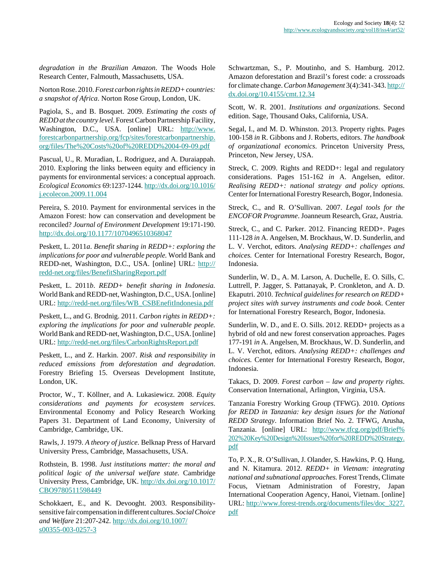*degradation in the Brazilian Amazon*. The Woods Hole Research Center, Falmouth, Massachusetts, USA.

Norton Rose. 2010. *Forest carbon rights in REDD+ countries: a snapshot of Africa*. Norton Rose Group, London, UK.

Pagiola, S., and B. Bosquet. 2009. *Estimating the costs of REDD at the country level*. Forest Carbon Partnership Facility, Washington, D.C., USA. [online] URL: [http://www.](http://www.forestcarbonpartnership.org/fcp/sites/forestcarbonpartnership.org/files/The%20Costs%20of%20REDD%2004-09-09.pdf) [forestcarbonpartnership.org/fcp/sites/forestcarbonpartnership.](http://www.forestcarbonpartnership.org/fcp/sites/forestcarbonpartnership.org/files/The%20Costs%20of%20REDD%2004-09-09.pdf) [org/files/The%20Costs%20of%20REDD%2004-09-09.pdf](http://www.forestcarbonpartnership.org/fcp/sites/forestcarbonpartnership.org/files/The%20Costs%20of%20REDD%2004-09-09.pdf)

Pascual, U., R. Muradian, L. Rodriguez, and A. Duraiappah. 2010. Exploring the links between equity and efficiency in payments for environmental services: a conceptual approach. *Ecological Economics* 69:1237-1244. [http://dx.doi.org/10.1016/](http://dx.doi.org/10.1016/j.ecolecon.2009.11.004) [j.ecolecon.2009.11.004](http://dx.doi.org/10.1016/j.ecolecon.2009.11.004)

Pereira, S. 2010. Payment for environmental services in the Amazon Forest: how can conservation and development be reconciled? *Journal of Environment Development* 19:171-190. <http://dx.doi.org/10.1177/1070496510368047>

Peskett, L. 2011*a*. *Benefit sharing in REDD+: exploring the implications for poor and vulnerable people.* World Bank and REDD-net, Washington, D.C., USA. [online] URL: [http://](http://redd-net.org/files/BenefitSharingReport.pdf) [redd-net.org/files/BenefitSharingReport.pdf](http://redd-net.org/files/BenefitSharingReport.pdf)

Peskett, L. 2011*b*. *REDD+ benefit sharing in Indonesia.* World Bank and REDD-net, Washington, D.C., USA. [online] URL: [http://redd-net.org/files/WB\\_CSBEnefitIndonesia.pdf](http://redd-net.org/files/WB_CSBEnefitIndonesia.pdf)

Peskett, L., and G. Brodnig. 2011. *Carbon rights in REDD+: exploring the implications for poor and vulnerable people.* World Bank and REDD-net, Washington, D.C., USA. [online] URL:<http://redd-net.org/files/CarbonRightsReport.pdf>

Peskett, L., and Z. Harkin. 2007. *Risk and responsibility in reduced emissions from deforestation and degradation*. Forestry Briefing 15. Overseas Development Institute, London, UK.

Proctor, W., T. Köllner, and A. Lukasiewicz. 2008. *Equity considerations and payments for ecosystem services*. Environmental Economy and Policy Research Working Papers 31. Department of Land Economy, University of Cambridge, Cambridge, UK.

Rawls, J. 1979. *A theory of justice*. Belknap Press of Harvard University Press, Cambridge, Massachusetts, USA.

Rothstein, B. 1998. *Just institutions matter: the moral and political logic of the universal welfare state*. Cambridge University Press, Cambridge, UK. [http://dx.doi.org/10.1017/](http://dx.doi.org/10.1017/CBO9780511598449) [CBO9780511598449](http://dx.doi.org/10.1017/CBO9780511598449)

Schokkaert, E., and K. Devooght. 2003. Responsibilitysensitive fair compensation in different cultures. *Social Choice and Welfare* 21:207-242. [http://dx.doi.org/10.1007/](http://dx.doi.org/10.1007/s00355-003-0257-3) [s00355-003-0257-3](http://dx.doi.org/10.1007/s00355-003-0257-3)

Schwartzman, S., P. Moutinho, and S. Hamburg. 2012. Amazon deforestation and Brazil's forest code: a crossroads for climate change. *Carbon Management* 3(4):341-343. [http://](http://dx.doi.org/10.4155/cmt.12.34) [dx.doi.org/10.4155/cmt.12.34](http://dx.doi.org/10.4155/cmt.12.34)

Scott, W. R. 2001. *Institutions and organizations.* Second edition. Sage, Thousand Oaks, California, USA.

Segal, I., and M. D. Whinston. 2013. Property rights. Pages 100-158 *in* R. Gibbons and J. Roberts, editors. *The handbook of organizational economics*. Princeton University Press, Princeton, New Jersey, USA.

Streck, C. 2009. Rights and REDD+: legal and regulatory considerations. Pages 151-162 *in* A. Angelsen, editor. *Realising REDD+: national strategy and policy options*. Center for International Forestry Research, Bogor, Indonesia.

Streck, C., and R. O'Sullivan. 2007. *Legal tools for the ENCOFOR Programme*. Joanneum Research, Graz, Austria.

Streck, C., and C. Parker. 2012. Financing REDD+. Pages 111-128 *in* A. Angelsen, M. Brockhaus, W. D. Sunderlin, and L. V. Verchot, editors. *Analysing REDD+: challenges and choices.* Center for International Forestry Research, Bogor, Indonesia.

Sunderlin, W. D., A. M. Larson, A. Duchelle, E. O. Sills, C. Luttrell, P. Jagger, S. Pattanayak, P. Cronkleton, and A. D. Ekaputri. 2010. *Technical guidelines for research on REDD+ project sites with survey instruments and code book*. Center for International Forestry Research, Bogor, Indonesia.

Sunderlin, W. D., and E. O. Sills. 2012. REDD+ projects as a hybrid of old and new forest conservation approaches. Pages 177-191 *in* A. Angelsen, M. Brockhaus, W. D. Sunderlin, and L. V. Verchot, editors. *Analysing REDD+: challenges and choices.* Center for International Forestry Research, Bogor, Indonesia.

Takacs, D. 2009. *Forest carbon – law and property rights*. Conservation International, Arlington, Virginia, USA.

Tanzania Forestry Working Group (TFWG). 2010. *Options for REDD in Tanzania: key design issues for the National REDD Strategy*. Information Brief No. 2. TFWG, Arusha, Tanzania. [online] URL: [http://www.tfcg.org/pdf/Brief%](http://www.tfcg.org/pdf/Brief%202%20Key%20Design%20Issues%20for%20REDD%20Strategy.pdf) [202%20Key%20Design%20Issues%20for%20REDD%20Strategy.](http://www.tfcg.org/pdf/Brief%202%20Key%20Design%20Issues%20for%20REDD%20Strategy.pdf) [pdf](http://www.tfcg.org/pdf/Brief%202%20Key%20Design%20Issues%20for%20REDD%20Strategy.pdf)

To, P. X., R. O'Sullivan, J. Olander, S. Hawkins, P. Q. Hung, and N. Kitamura. 2012. *REDD+ in Vietnam: integrating national and subnational approaches.* Forest Trends, Climate Focus, Vietnam Administration of Forestry, Japan International Cooperation Agency, Hanoi, Vietnam. [online] URL: [http://www.forest-trends.org/documents/files/doc\\_3227.](http://www.forest-trends.org/documents/files/doc_3227.pdf) [pdf](http://www.forest-trends.org/documents/files/doc_3227.pdf)